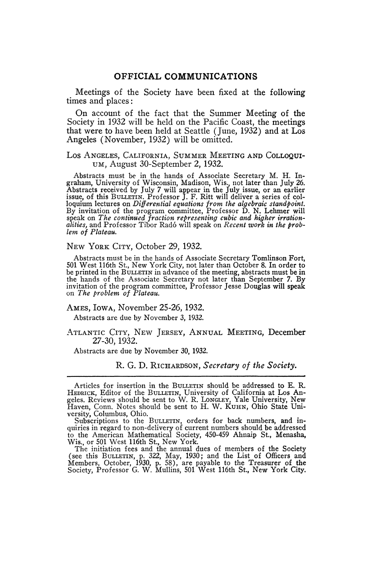## **OFFICIAL COMMUNICATIONS**

Meetings of the Society have been fixed at the following times and places :

On account of the fact that the Summer Meeting of the Society in 1932 will be held on the Pacific Coast, the meetings that were to have been held at Seattle (June, 1932) and at Los Angeles (November, 1932) will be omitted.

### Los ANGELES, CALIFORNIA, SUMMER MEETING AND COLLOQUI-UM, August 30-September 2, 1932.

Abstracts must be in the hands of Associate Secretary M. H. Ingraham, University of Wisconsin, Madison, Wis., not later than July 26. Abstracts received by July 7 will appear in the July issue, or an earlier issue, of this BULLETIN. Professor J. F. Ritt will deliver a series of colloquium lectures on *Differential equations from the algebraic standpoint.*  By invitation of the program committee, Professor D. N. Lehmer will speak on *The continued fraction representing cubic and higher irrationalities,* and Professor Tibor Radó will speak on *Recent work in the problem of Plateau.* 

#### NEW YORK CITY, October 29, 1932.

Abstracts must be in the hands of Associate Secretary Tomlinson Fort, 501 West 116th St., New York City, not later than October 8. In order to be printed in the BULLETIN in advance of the meeting, abstracts must be in the hands of the Associate Secretary not later than September 7. By invitation of the program committee, Professor Jesse Douglas will speak on *The problem of Plateau.* 

# AMES, IOWA, November 25-26, 1932.

Abstracts are due by November 3, 1932.

ATLANTIC CITY, NEW JERSEY, ANNUAL MEETING, December 27-30,1932.

Abstracts are due by November 30, 1932.

R. G. D. RICHARDSON, *Secretary of the Society.* 

Articles for insertion in the BULLETIN should be addressed to E. R. HEDRICK, Editor of the BULLETIN, University of California at Los Angeles. Reviews should be sent to W. R. LONGLEY, Yale University, New Haven, Conn. Notes should be sent to H. W. KUHN, Ohio State Uni-versity, Columbus, Ohio. Subscriptions to the BULLETIN, orders for back numbers, and in-

quiries in regard to non-delivery of current numbers should be addressed to the American Mathematical Society, 450-459 Ahnaip St., Menasha, Wis., or 501 West 116th St., New York.

The initiation fees and the annual dues of members of the Society (see this BULLETIN, p. 322, May, 1930; and the List of Officers and Members, October, 1930, p. 58), are payable to the Treasurer of the Society, Professor G. W. Mullins, 501 West 116th St., New York City.